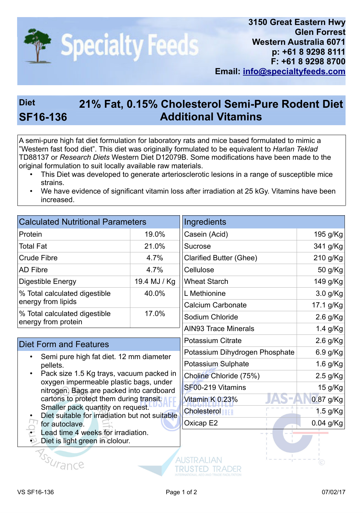

## **Diet 21% Fat, 0.15% Cholesterol Semi-Pure Rodent Diet SF16-136 Additional Vitamins**

A semi-pure high fat diet formulation for laboratory rats and mice based formulated to mimic a "Western fast food diet". This diet was originally formulated to be equivalent to *Harlan Teklad* TD88137 or *Research Diets* Western Diet D12079B. Some modifications have been made to the original formulation to suit locally available raw materials.

- This Diet was developed to generate arteriosclerotic lesions in a range of susceptible mice strains.
- We have evidence of significant vitamin loss after irradiation at 25 kGy. Vitamins have been increased.

| <b>Calculated Nutritional Parameters</b>                                                                                                                                                                                                                                                                                                                                                                           |              | Ingredients                    |             |
|--------------------------------------------------------------------------------------------------------------------------------------------------------------------------------------------------------------------------------------------------------------------------------------------------------------------------------------------------------------------------------------------------------------------|--------------|--------------------------------|-------------|
| Protein                                                                                                                                                                                                                                                                                                                                                                                                            | 19.0%        | Casein (Acid)                  | 195 g/Kg    |
| <b>Total Fat</b>                                                                                                                                                                                                                                                                                                                                                                                                   | 21.0%        | Sucrose                        | 341 g/Kg    |
| <b>Crude Fibre</b>                                                                                                                                                                                                                                                                                                                                                                                                 | 4.7%         | <b>Clarified Butter (Ghee)</b> | 210 g/Kg    |
| <b>AD Fibre</b>                                                                                                                                                                                                                                                                                                                                                                                                    | 4.7%         | Cellulose                      | 50 g/Kg     |
| <b>Digestible Energy</b>                                                                                                                                                                                                                                                                                                                                                                                           | 19.4 MJ / Kg | <b>Wheat Starch</b>            | 149 g/Kg    |
| % Total calculated digestible<br>energy from lipids                                                                                                                                                                                                                                                                                                                                                                | 40.0%        | L Methionine                   | 3.0 g/Kg    |
|                                                                                                                                                                                                                                                                                                                                                                                                                    |              | <b>Calcium Carbonate</b>       | 17.1 g/Kg   |
| % Total calculated digestible<br>energy from protein                                                                                                                                                                                                                                                                                                                                                               | 17.0%        | Sodium Chloride                | $2.6$ g/Kg  |
|                                                                                                                                                                                                                                                                                                                                                                                                                    |              | <b>AIN93 Trace Minerals</b>    | 1.4 g/Kg    |
| <b>Diet Form and Features</b>                                                                                                                                                                                                                                                                                                                                                                                      |              | <b>Potassium Citrate</b>       | $2.6$ g/Kg  |
| Semi pure high fat diet. 12 mm diameter<br>pellets.<br>Pack size 1.5 Kg trays, vacuum packed in<br>oxygen impermeable plastic bags, under<br>nitrogen. Bags are packed into cardboard<br>cartons to protect them during transit.<br>Smaller pack quantity on request.<br>Diet suitable for irradiation but not suitable<br>for autoclave.<br>Lead time 4 weeks for irradiation.<br>Diet is light green in clolour. |              | Potassium Dihydrogen Phosphate | 6.9 g/Kg    |
|                                                                                                                                                                                                                                                                                                                                                                                                                    |              | Potassium Sulphate             | 1.6 g/Kg    |
|                                                                                                                                                                                                                                                                                                                                                                                                                    |              | Choline Chloride (75%)         | $2.5$ g/Kg  |
|                                                                                                                                                                                                                                                                                                                                                                                                                    |              | SF00-219 Vitamins              | 15 g/Kg     |
|                                                                                                                                                                                                                                                                                                                                                                                                                    |              | Vitamin K 0.23%                | 0.87 g/Kg   |
|                                                                                                                                                                                                                                                                                                                                                                                                                    |              | <b>Cholesteroller</b>          | 1.5 g/Kg    |
|                                                                                                                                                                                                                                                                                                                                                                                                                    |              | Oxicap E2                      | $0.04$ g/Kg |
|                                                                                                                                                                                                                                                                                                                                                                                                                    |              |                                |             |
| <b>Y<sub>SSI/rance</sub></b>                                                                                                                                                                                                                                                                                                                                                                                       |              | AUSTRALIAN                     |             |

TRUSTED TRADER